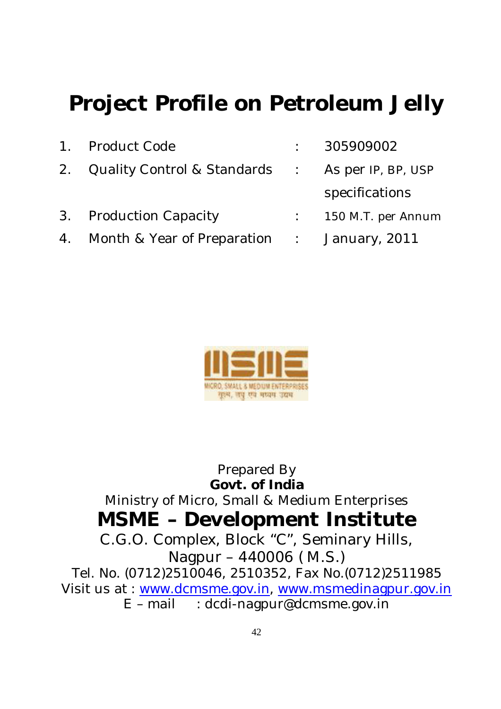# **Project Profile on Petroleum Jelly**

- 1. Product Code : 305909002 2. Quality Control & Standards : As per IP, BP, USP
- 4. Month & Year of Preparation : January, 2011
- 
- specifications
- 3. Production Capacity : 150 M.T. per Annum
	-



Prepared By **Govt. of India** Ministry of Micro, Small & Medium Enterprises **MSME – Development Institute** C.G.O. Complex, Block "C", Seminary Hills, Nagpur – 440006 ( M.S.) Tel. No. (0712)2510046, 2510352, Fax No.(0712)2511985 Visit us at : www.dcmsme.gov.in, www.msmedinagpur.gov.in  $E$  – mail  $\therefore$  dcdi-nagpur@dcmsme.gov.in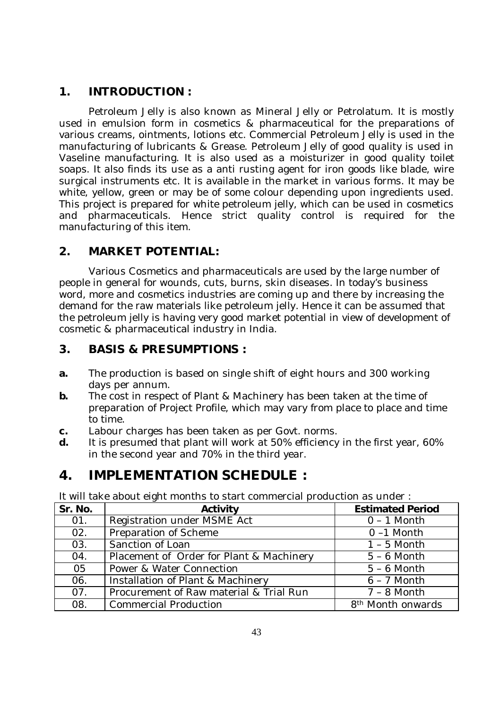#### **1. INTRODUCTION :**

Petroleum Jelly is also known as Mineral Jelly or Petrolatum. It is mostly used in emulsion form in cosmetics & pharmaceutical for the preparations of various creams, ointments, lotions etc. Commercial Petroleum Jelly is used in the manufacturing of lubricants & Grease. Petroleum Jelly of good quality is used in Vaseline manufacturing. It is also used as a moisturizer in good quality toilet soaps. It also finds its use as a anti rusting agent for iron goods like blade, wire surgical instruments etc. It is available in the market in various forms. It may be white, yellow, green or may be of some colour depending upon ingredients used. This project is prepared for white petroleum jelly, which can be used in cosmetics and pharmaceuticals. Hence strict quality control is required for the manufacturing of this item.

### **2. MARKET POTENTIAL:**

Various Cosmetics and pharmaceuticals are used by the large number of people in general for wounds, cuts, burns, skin diseases. In today's business word, more and cosmetics industries are coming up and there by increasing the demand for the raw materials like petroleum jelly. Hence it can be assumed that the petroleum jelly is having very good market potential in view of development of cosmetic & pharmaceutical industry in India.

#### **3. BASIS & PRESUMPTIONS :**

- **a.** The production is based on single shift of eight hours and 300 working days per annum.
- **b.** The cost in respect of Plant & Machinery has been taken at the time of preparation of Project Profile, which may vary from place to place and time to time.
- **c.** Labour charges has been taken as per Govt. norms.
- **d.** It is presumed that plant will work at 50% efficiency in the first year, 60% in the second year and 70% in the third year.

# **4. IMPLEMENTATION SCHEDULE :**

It will take about eight months to start commercial production as under :

| Sr. No. | <b>Activity</b>                          | <b>Estimated Period</b>       |
|---------|------------------------------------------|-------------------------------|
| 01.     | Registration under MSME Act              | $0 - 1$ Month                 |
| 02.     | Preparation of Scheme                    | $0 - 1$ Month                 |
| 03.     | Sanction of Loan                         | $1 - 5$ Month                 |
| 04.     | Placement of Order for Plant & Machinery | $5 - 6$ Month                 |
| 05      | Power & Water Connection                 | $5 - 6$ Month                 |
| 06.     | Installation of Plant & Machinery        | $6 - 7$ Month                 |
| 07.     | Procurement of Raw material & Trial Run  | $7 - 8$ Month                 |
| 08.     | <b>Commercial Production</b>             | 8 <sup>th</sup> Month onwards |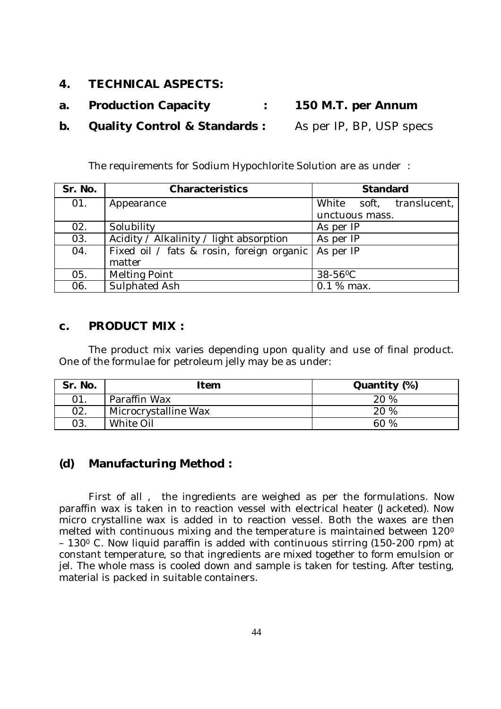- **4. TECHNICAL ASPECTS:**
- **a. Production Capacity : 150 M.T. per Annum**
- **b. Quality Control & Standards :** As per IP, BP, USP specs

The requirements for Sodium Hypochlorite Solution are as under :

| Sr. No. | <b>Characteristics</b>                    | <b>Standard</b>          |
|---------|-------------------------------------------|--------------------------|
| 01.     | Appearance                                | White soft, translucent, |
|         |                                           | unctuous mass.           |
| 02.     | Solubility                                | As per IP                |
| 03.     | Acidity / Alkalinity / light absorption   | As per IP                |
| 04.     | Fixed oil / fats & rosin, foreign organic | As per IP                |
|         | matter                                    |                          |
| 05.     | <b>Melting Point</b>                      | 38-56°C                  |
| 06.     | Sulphated Ash                             | 0.1 % max.               |

#### **c. PRODUCT MIX :**

The product mix varies depending upon quality and use of final product. One of the formulae for petroleum jelly may be as under:

| Sr. No. | Item                 | Quantity (%) |
|---------|----------------------|--------------|
| 01.     | Paraffin Wax         | 20 %         |
| 02.     | Microcrystalline Wax | 20 %         |
| 03.     | White Oil            | 60%          |

#### **(d) Manufacturing Method :**

First of all , the ingredients are weighed as per the formulations. Now paraffin wax is taken in to reaction vessel with electrical heater (Jacketed). Now micro crystalline wax is added in to reaction vessel. Both the waxes are then melted with continuous mixing and the temperature is maintained between 120<sup>0</sup> – 130<sup>0</sup> C. Now liquid paraffin is added with continuous stirring (150-200 rpm) at constant temperature, so that ingredients are mixed together to form emulsion or jel. The whole mass is cooled down and sample is taken for testing. After testing, material is packed in suitable containers.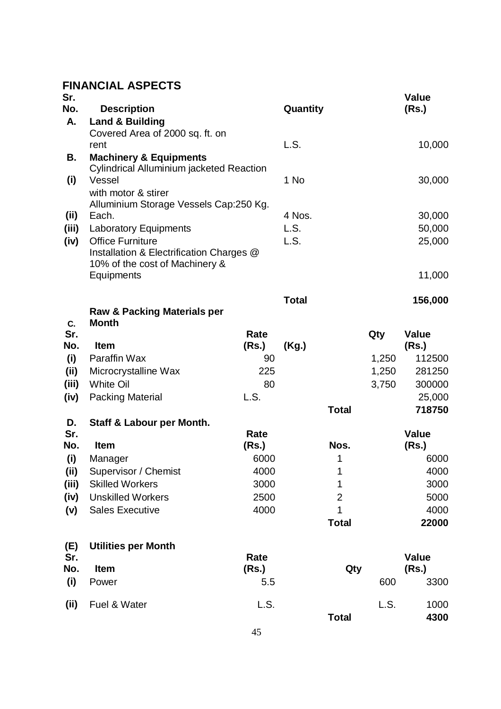## **FINANCIAL ASPECTS**

| Sr.<br>No. | <b>Description</b>                                      |             | Quantity     |                |       | <b>Value</b><br>(Rs.) |
|------------|---------------------------------------------------------|-------------|--------------|----------------|-------|-----------------------|
| Α.         | <b>Land &amp; Building</b>                              |             |              |                |       |                       |
|            | Covered Area of 2000 sq. ft. on                         |             |              |                |       |                       |
|            | rent                                                    |             | L.S.         |                |       | 10,000                |
| В.         | <b>Machinery &amp; Equipments</b>                       |             |              |                |       |                       |
|            | <b>Cylindrical Alluminium jacketed Reaction</b>         |             |              |                |       |                       |
| (i)        | Vessel                                                  |             | 1 No         |                |       | 30,000                |
|            | with motor & stirer                                     |             |              |                |       |                       |
|            | Alluminium Storage Vessels Cap:250 Kg.                  |             |              |                |       |                       |
| (ii)       | Each.                                                   |             | 4 Nos.       |                |       | 30,000                |
| (iii)      | <b>Laboratory Equipments</b><br><b>Office Furniture</b> |             | L.S.<br>L.S. |                |       | 50,000                |
| (iv)       | Installation & Electrification Charges @                |             |              |                |       | 25,000                |
|            | 10% of the cost of Machinery &                          |             |              |                |       |                       |
|            | Equipments                                              |             |              |                |       | 11,000                |
|            |                                                         |             | <b>Total</b> |                |       | 156,000               |
|            | <b>Raw &amp; Packing Materials per</b>                  |             |              |                |       |                       |
| C.         | <b>Month</b>                                            |             |              |                |       |                       |
| Sr.        |                                                         | <b>Rate</b> |              |                | Qty   | <b>Value</b>          |
| No.        | <b>Item</b>                                             | (Rs.)       | (Kg.)        |                |       | (Rs.)                 |
| (i)        | Paraffin Wax                                            | 90          |              |                | 1,250 | 112500                |
| (ii)       | Microcrystalline Wax                                    | 225         |              |                | 1,250 | 281250                |
| (iii)      | <b>White Oil</b>                                        | 80          |              |                | 3,750 | 300000                |
| (iv)       | <b>Packing Material</b>                                 | L.S.        |              | <b>Total</b>   |       | 25,000<br>718750      |
| D.         | Staff & Labour per Month.                               |             |              |                |       |                       |
| Sr.        |                                                         | Rate        |              |                |       | <b>Value</b>          |
| No.        | Item                                                    | (Rs.)       |              | Nos.           |       | (Rs.)                 |
| (i)        | Manager                                                 | 6000        |              | 1              |       | 6000                  |
| (ii)       | Supervisor / Chemist                                    | 4000        |              | 1              |       | 4000                  |
| (iii)      | <b>Skilled Workers</b>                                  | 3000        |              | 1              |       | 3000                  |
| (iv)       | <b>Unskilled Workers</b>                                | 2500        |              | $\overline{2}$ |       | 5000                  |
| (v)        | <b>Sales Executive</b>                                  | 4000        |              | 1              |       | 4000                  |
|            |                                                         |             |              | <b>Total</b>   |       | 22000                 |
| (E)        | <b>Utilities per Month</b>                              |             |              |                |       |                       |
| Sr.        |                                                         | Rate        |              |                |       | <b>Value</b>          |
| No.        | <b>Item</b>                                             | (Rs.)       |              | Qty            |       | (Rs.)                 |
| (i)        | Power                                                   | 5.5         |              |                | 600   | 3300                  |
| (ii)       | Fuel & Water                                            | L.S.        |              |                | L.S.  | 1000                  |
|            |                                                         |             |              | <b>Total</b>   |       | 4300                  |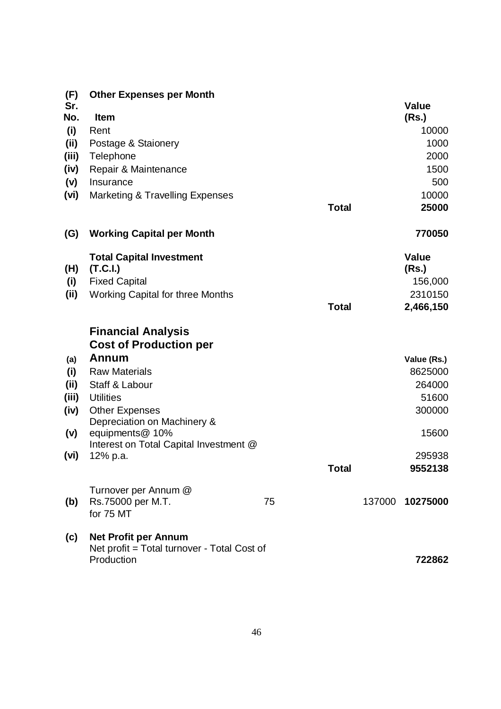| (F)   | <b>Other Expenses per Month</b>                           |    |              |        |                |
|-------|-----------------------------------------------------------|----|--------------|--------|----------------|
| Sr.   |                                                           |    |              |        | <b>Value</b>   |
| No.   | <b>Item</b>                                               |    |              |        | (Rs.)          |
| (i)   | Rent                                                      |    |              |        | 10000          |
| (ii)  | Postage & Staionery                                       |    |              |        | 1000           |
| (iii) | Telephone                                                 |    |              |        | 2000           |
| (iv)  | Repair & Maintenance                                      |    |              |        | 1500           |
| (v)   | Insurance                                                 |    |              |        | 500            |
| (vi)  | <b>Marketing &amp; Travelling Expenses</b>                |    | <b>Total</b> |        | 10000<br>25000 |
| (G)   | <b>Working Capital per Month</b>                          |    |              |        | 770050         |
|       | <b>Total Capital Investment</b>                           |    |              |        | <b>Value</b>   |
| (H)   | (T.C.I.)                                                  |    |              |        | (Rs.)          |
| (i)   | <b>Fixed Capital</b>                                      |    |              |        | 156,000        |
| (ii)  | <b>Working Capital for three Months</b>                   |    |              |        | 2310150        |
|       |                                                           |    | <b>Total</b> |        | 2,466,150      |
|       | <b>Financial Analysis</b>                                 |    |              |        |                |
|       | <b>Cost of Production per</b>                             |    |              |        |                |
| (a)   | Annum                                                     |    |              |        | Value (Rs.)    |
| (i)   | <b>Raw Materials</b>                                      |    |              |        | 8625000        |
| (ii)  | Staff & Labour                                            |    |              |        | 264000         |
| (iii) | <b>Utilities</b>                                          |    |              |        | 51600          |
| (iv)  | <b>Other Expenses</b><br>Depreciation on Machinery &      |    |              |        | 300000         |
| (v)   | equipments@ 10%                                           |    |              |        | 15600          |
|       | Interest on Total Capital Investment @                    |    |              |        |                |
| (vi)  | 12% p.a.                                                  |    |              |        | 295938         |
|       |                                                           |    | <b>Total</b> |        | 9552138        |
|       | Turnover per Annum @                                      |    |              |        |                |
| (b)   | Rs.75000 per M.T.                                         | 75 |              | 137000 | 10275000       |
|       | for 75 MT                                                 |    |              |        |                |
| (c)   | <b>Net Profit per Annum</b>                               |    |              |        |                |
|       | Net profit = Total turnover - Total Cost of<br>Production |    |              |        | 722862         |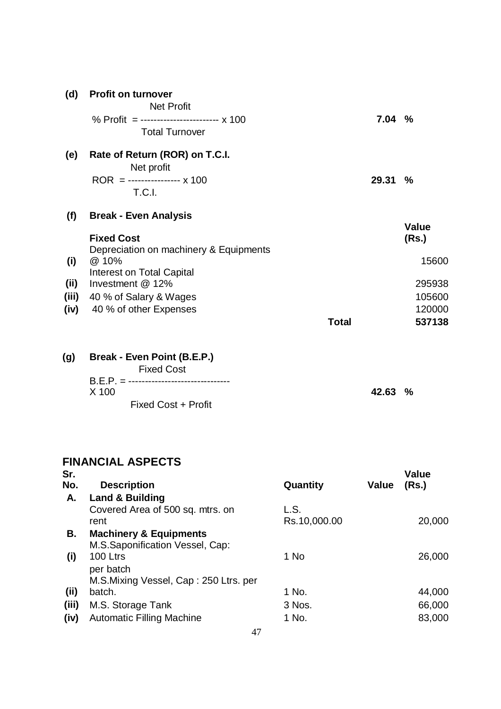| (d)                         | <b>Profit on turnover</b><br><b>Net Profit</b><br>% Profit = ------------------------- x 100<br><b>Total Turnover</b>                                                           |              | 7.04% |                                                    |
|-----------------------------|---------------------------------------------------------------------------------------------------------------------------------------------------------------------------------|--------------|-------|----------------------------------------------------|
| (e)                         | Rate of Return (ROR) on T.C.I.<br>Net profit<br>ROR = ---------------- $x 100$<br><b>T.C.I.</b>                                                                                 |              | 29.31 | $\%$                                               |
| (f)<br>(i)<br>(ii)<br>(iii) | <b>Break - Even Analysis</b><br><b>Fixed Cost</b><br>Depreciation on machinery & Equipments<br>@ 10%<br>Interest on Total Capital<br>Investment @ 12%<br>40 % of Salary & Wages |              |       | <b>Value</b><br>(Rs.)<br>15600<br>295938<br>105600 |
| (iv)                        | 40 % of other Expenses                                                                                                                                                          | <b>Total</b> |       | 120000<br>537138                                   |
| (g)                         | Break - Even Point (B.E.P.)<br><b>Fixed Cost</b>                                                                                                                                |              |       |                                                    |

| $B.E.P. = $ ----------------------------------- |        |  |
|-------------------------------------------------|--------|--|
| X 100                                           | 42.63% |  |
| Fixed Cost + Profit                             |        |  |

#### **FINANCIAL ASPECTS Sr.**

| <b>Description</b>                    | Quantity     | <b>Value</b> | Value<br>(Rs.) |
|---------------------------------------|--------------|--------------|----------------|
| <b>Land &amp; Building</b>            |              |              |                |
| Covered Area of 500 sq. mtrs. on      | L.S.         |              |                |
| rent                                  | Rs.10,000.00 |              | 20,000         |
| <b>Machinery &amp; Equipments</b>     |              |              |                |
| M.S.Saponification Vessel, Cap:       |              |              |                |
| 100 Ltrs                              | 1 No         |              | 26,000         |
| per batch                             |              |              |                |
| M.S.Mixing Vessel, Cap: 250 Ltrs. per |              |              |                |
| batch.                                | 1 No.        |              | 44,000         |
| M.S. Storage Tank                     | 3 Nos.       |              | 66,000         |
| <b>Automatic Filling Machine</b>      | 1 No.        |              | 83,000         |
|                                       |              |              |                |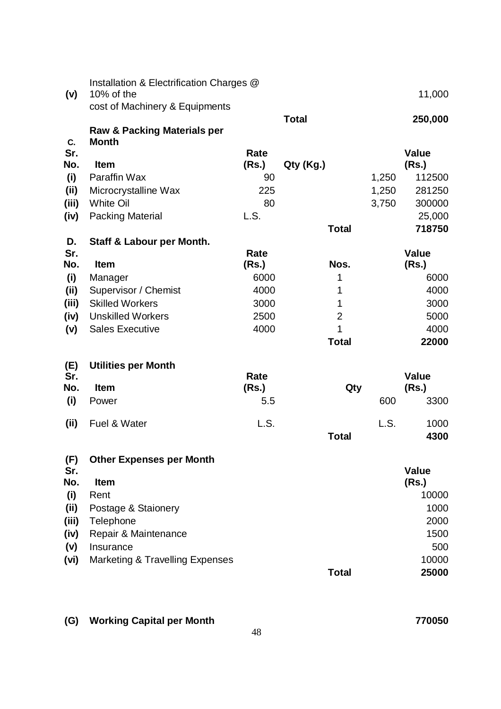| (v)         | Installation & Electrification Charges @<br>10% of the |               |                |       | 11,000                |
|-------------|--------------------------------------------------------|---------------|----------------|-------|-----------------------|
|             | cost of Machinery & Equipments                         |               |                |       |                       |
| C.          | <b>Raw &amp; Packing Materials per</b><br><b>Month</b> |               | <b>Total</b>   |       | 250,000               |
| Sr.         |                                                        | Rate          |                |       | <b>Value</b>          |
| No.         | Item                                                   | (Rs.)         | Qty (Kg.)      |       | (Rs.)                 |
| (i)         | Paraffin Wax                                           | 90            |                | 1,250 | 112500                |
| (ii)        | Microcrystalline Wax                                   | 225           |                | 1,250 | 281250                |
| (iii)       | <b>White Oil</b>                                       | 80            |                | 3,750 | 300000                |
| (iv)        | <b>Packing Material</b>                                | L.S.          |                |       | 25,000                |
|             |                                                        |               | <b>Total</b>   |       | 718750                |
| D.          | Staff & Labour per Month.                              |               |                |       |                       |
| Sr.<br>No.  | <b>Item</b>                                            | Rate<br>(Rs.) | Nos.           |       | <b>Value</b><br>(Rs.) |
|             |                                                        | 6000          | 1              |       | 6000                  |
| (i)<br>(ii) | Manager<br>Supervisor / Chemist                        | 4000          | 1              |       | 4000                  |
| (iii)       | <b>Skilled Workers</b>                                 | 3000          | 1              |       | 3000                  |
| (iv)        | <b>Unskilled Workers</b>                               | 2500          | $\overline{2}$ |       | 5000                  |
| (v)         | <b>Sales Executive</b>                                 | 4000          | 1              |       | 4000                  |
|             |                                                        |               | <b>Total</b>   |       | 22000                 |
|             |                                                        |               |                |       |                       |
| (E)         | <b>Utilities per Month</b>                             |               |                |       |                       |
| Sr.         |                                                        | Rate          |                |       | <b>Value</b>          |
| No.         | <b>Item</b>                                            | (Rs.)         | Qty            |       | (Rs.)                 |
| (i)         | Power                                                  | 5.5           |                | 600   | 3300                  |
| (ii)        | Fuel & Water                                           | L.S.          |                | L.S.  | 1000                  |
|             |                                                        |               | <b>Total</b>   |       | 4300                  |
|             |                                                        |               |                |       |                       |
| (F)         | <b>Other Expenses per Month</b>                        |               |                |       |                       |
| Sr.         |                                                        |               |                |       | <b>Value</b>          |
| No.         | Item                                                   |               |                |       | (Rs.)                 |
| (i)         | Rent                                                   |               |                |       | 10000                 |
| (ii)        | Postage & Staionery                                    |               |                |       | 1000                  |
| (iii)       | Telephone                                              |               |                |       | 2000                  |
| (iv)        | Repair & Maintenance                                   |               |                |       | 1500                  |
| (v)         | Insurance                                              |               |                |       | 500                   |
| (vi)        | Marketing & Travelling Expenses                        |               |                |       | 10000                 |
|             |                                                        |               | <b>Total</b>   |       | 25000                 |

**(G) Working Capital per Month 770050**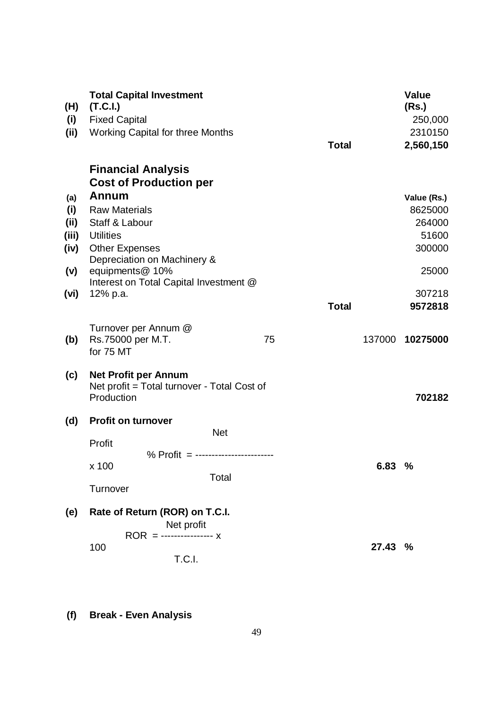| (H)<br>(i)<br>(ii)                                 | <b>Total Capital Investment</b><br>(T.C.I.)<br><b>Fixed Capital</b><br>Working Capital for three Months                                                                                                     | <b>Total</b> | <b>Value</b><br>(Rs.)<br>250,000<br>2310150<br>2,560,150                          |
|----------------------------------------------------|-------------------------------------------------------------------------------------------------------------------------------------------------------------------------------------------------------------|--------------|-----------------------------------------------------------------------------------|
|                                                    | <b>Financial Analysis</b><br><b>Cost of Production per</b>                                                                                                                                                  |              |                                                                                   |
| (a)<br>(i)<br>(ii)<br>(iii)<br>(iv)<br>(v)<br>(vi) | <b>Annum</b><br><b>Raw Materials</b><br>Staff & Labour<br><b>Utilities</b><br><b>Other Expenses</b><br>Depreciation on Machinery &<br>equipments@ 10%<br>Interest on Total Capital Investment @<br>12% p.a. | <b>Total</b> | Value (Rs.)<br>8625000<br>264000<br>51600<br>300000<br>25000<br>307218<br>9572818 |
| (b)                                                | Turnover per Annum @<br>Rs.75000 per M.T.<br>75<br>for 75 MT                                                                                                                                                | 137000       | 10275000                                                                          |
| (c)                                                | <b>Net Profit per Annum</b><br>Net profit = Total turnover - Total Cost of<br>Production                                                                                                                    |              | 702182                                                                            |
| (d)                                                | Profit on turnover<br><b>Net</b><br>Profit<br>% Profit = ------------------------<br>x 100<br>Total<br>Turnover                                                                                             | 6.83 %       |                                                                                   |
| (e)                                                | Rate of Return (ROR) on T.C.I.<br>Net profit<br>$ROR =$ ----------------- x<br>100<br>T.C.I.                                                                                                                | 27.43 %      |                                                                                   |

**(f) Break - Even Analysis**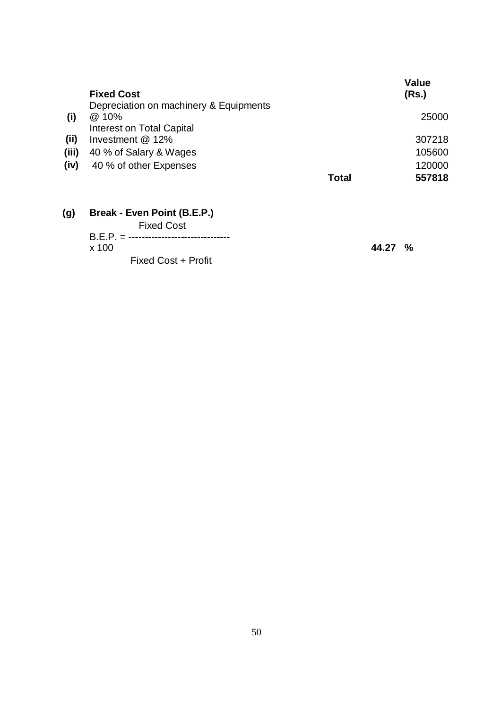|       | <b>Fixed Cost</b>                                                            |              | <b>Value</b><br>(Rs.) |
|-------|------------------------------------------------------------------------------|--------------|-----------------------|
| (i)   | Depreciation on machinery & Equipments<br>@ 10%<br>Interest on Total Capital |              | 25000                 |
| (ii)  | Investment @ 12%                                                             |              | 307218                |
| (iii) | 40 % of Salary & Wages                                                       |              | 105600                |
| (iv)  | 40 % of other Expenses                                                       |              | 120000                |
|       |                                                                              | <b>Total</b> | 557818                |
| (g)   | Break - Even Point (B.E.P.)<br>$Eivad$ Coot                                  |              |                       |

| <b>Fixed Cost</b>                  |
|------------------------------------|
| $B.E.P. =$ ----------------------- |
| x 100                              |
| Fixed Cost + Profit                |

x 100 **44.27 %**